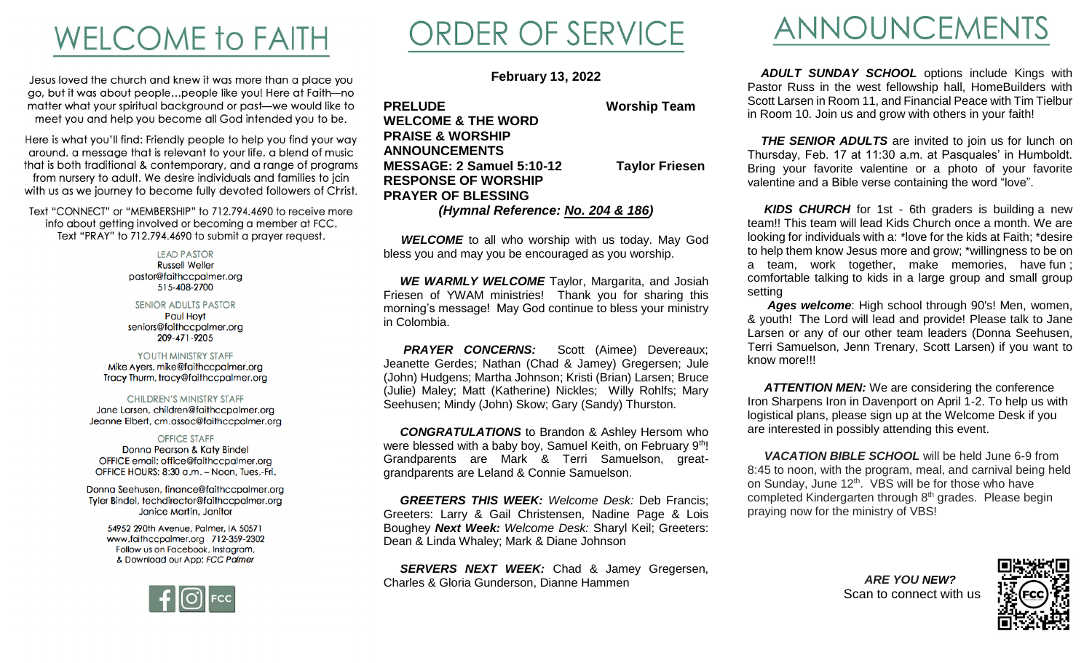### **WELCOME TO FAITH**

Jesus loved the church and knew it was more than a place you go, but it was about people...people like you! Here at Faith-no matter what your spiritual background or past-we would like to meet you and help you become all God intended you to be.

Here is what you'll find: Friendly people to help you find your way around, a message that is relevant to your life, a blend of music that is both traditional & contemporary, and a range of programs from nursery to adult. We desire individuals and families to join with us as we journey to become fully devoted followers of Christ.

Text "CONNECT" or "MEMBERSHIP" to 712.794.4690 to receive more info about getting involved or becoming a member at FCC. Text "PRAY" to 712.794.4690 to submit a prayer request.

> **LEAD PASTOR Russell Weller** pastor@faithccpalmer.org 515-408-2700

**SENIOR ADULTS PASTOR Paul Hovt** seniors@faithccpalmer.org 209-471-9205

#### YOUTH MINISTRY STAFF Mike Ayers, mike@faithccpalmer.org Tracy Thurm, tracy@faithccpalmer.org

**CHILDREN'S MINISTRY STAFF** Jane Larsen, children@faithccpalmer.org Jeanne Elbert, cm.assoc@faithccpalmer.org

#### **OFFICE STAFF**

Donna Pearson & Katy Bindel OFFICE email: office@faithccpalmer.org OFFICE HOURS: 8:30 a.m. - Noon, Tues.-Fri.

Donna Seehusen, finance@faithccpalmer.org Tyler Bindel, techdirector@faithccpalmer.org Janice Martin, Janitor

> 54952 290th Avenue, Palmer, IA 50571 www.faithccpalmer.org 712-359-2302 Follow us on Facebook, Instagram, & Download our App: FCC Palmer



# ORDER OF SERVICE

**February 13, 2022**

**PRELUDE Worship Team WELCOME & THE WORD PRAISE & WORSHIP ANNOUNCEMENTS MESSAGE: 2 Samuel 5:10-12 Taylor Friesen RESPONSE OF WORSHIP PRAYER OF BLESSING** *(Hymnal Reference: No. 204 & 186)*

**WELCOME** to all who worship with us today. May God bless you and may you be encouraged as you worship.

**WE WARMLY WELCOME** Taylor, Margarita, and Josiah Friesen of YWAM ministries! Thank you for sharing this morning's message! May God continue to bless your ministry in Colombia.

**PRAYER CONCERNS:** Scott (Aimee) Devereaux; Jeanette Gerdes; Nathan (Chad & Jamey) Gregersen; Jule (John) Hudgens; Martha Johnson; Kristi (Brian) Larsen; Bruce (Julie) Maley; Matt (Katherine) Nickles; Willy Rohlfs; Mary Seehusen; Mindy (John) Skow; Gary (Sandy) Thurston.

 *CONGRATULATIONS* to Brandon & Ashley Hersom who were blessed with a baby boy, Samuel Keith, on February 9th! Grandparents are Mark & Terri Samuelson, greatgrandparents are Leland & Connie Samuelson.

 *GREETERS THIS WEEK: Welcome Desk:* Deb Francis; Greeters: Larry & Gail Christensen, Nadine Page & Lois Boughey *Next Week: Welcome Desk:* Sharyl Keil; Greeters: Dean & Linda Whaley; Mark & Diane Johnson

**SERVERS NEXT WEEK:** Chad & Jamey Gregersen, Charles & Gloria Gunderson, Dianne Hammen

#### ANNOUNCEMENTS

**ADULT SUNDAY SCHOOL** options include Kings with Pastor Russ in the west fellowship hall, HomeBuilders with Scott Larsen in Room 11, and Financial Peace with Tim Tielbur in Room 10. Join us and grow with others in your faith!

**THE SENIOR ADULTS** are invited to join us for lunch on Thursday, Feb. 17 at 11:30 a.m. at Pasquales' in Humboldt. Bring your favorite valentine or a photo of your favorite valentine and a Bible verse containing the word "love".

 *KIDS CHURCH* for 1st - 6th graders is building a new team!! This team will lead Kids Church once a month. We are looking for individuals with a: \*love for the kids at Faith; \*desire to help them know Jesus more and grow; \*willingness to be on a team, work together, make memories, have fun ; comfortable talking to kids in a large group and small group setting

 *Ages welcome*: High school through 90's! Men, women, & youth! The Lord will lead and provide! Please talk to Jane Larsen or any of our other team leaders (Donna Seehusen, Terri Samuelson, Jenn Trenary, Scott Larsen) if you want to know more!!!

 *ATTENTION MEN:* We are considering the conference Iron Sharpens Iron in Davenport on April 1-2. To help us with logistical plans, please sign up at the Welcome Desk if you are interested in possibly attending this event.

 *VACATION BIBLE SCHOOL* will be held June 6-9 from 8:45 to noon, with the program, meal, and carnival being held on Sunday, June 12<sup>th</sup>. VBS will be for those who have completed Kindergarten through 8<sup>th</sup> grades. Please begin praying now for the ministry of VBS!